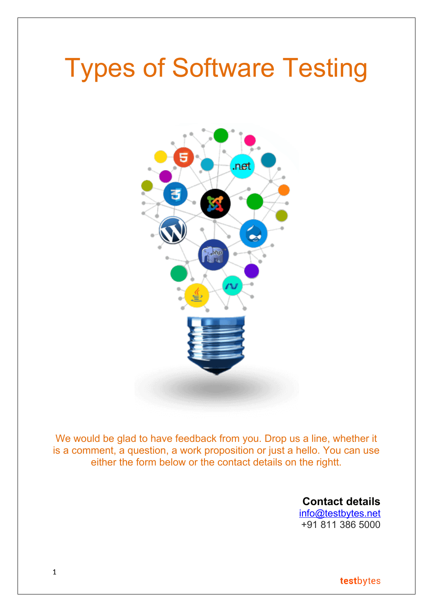# Types of Software Testing



We would be glad to have feedback from you. Drop us a line, whether it is a comment, a question, a work proposition or just a hello. You can use either the form below or the contact details on the rightt.

> **Contact details** [info@testbytes.net](mailto:info@testbytes.net) +91 811 386 5000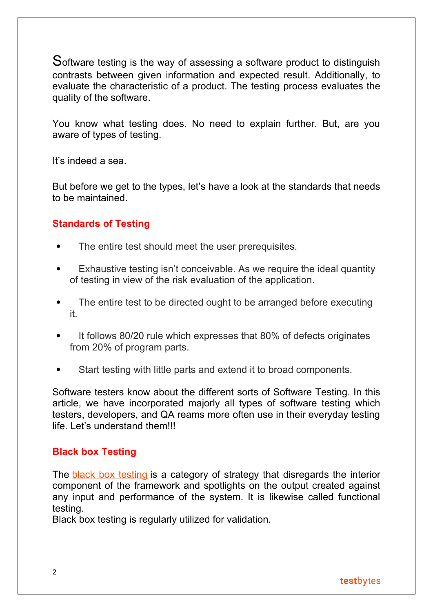Software testing is the way of assessing a software product to distinguish contrasts between given information and expected result. Additionally, to evaluate the characteristic of a product. The testing process evaluates the quality of the software.

You know what testing does. No need to explain further. But, are you aware of types of testing.

It's indeed a sea.

But before we get to the types, let's have a look at the standards that needs to be maintained.

## **Standards of Testing**

- The entire test should meet the user prerequisites.
- Exhaustive testing isn't conceivable. As we require the ideal quantity of testing in view of the risk evaluation of the application.
- The entire test to be directed ought to be arranged before executing it.
- It follows 80/20 rule which expresses that 80% of defects originates from 20% of program parts.
- Start testing with little parts and extend it to broad components.

Software testers know about the different sorts of Software Testing. In this article, we have incorporated majorly all types of software testing which testers, developers, and QA reams more often use in their everyday testing life. Let's understand them!!!

## **Black box Testing**

The [black box testing](https://www.testbytes.net/blog/quick-guide-to-black-box-testing/) is a category of strategy that disregards the interior component of the framework and spotlights on the output created against any input and performance of the system. It is likewise called functional testing.

Black box testing is regularly utilized for validation.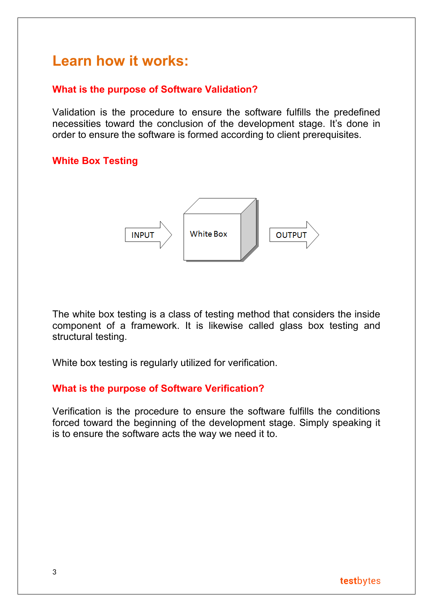## **Learn how it works:**

## **What is the purpose of Software Validation?**

Validation is the procedure to ensure the software fulfills the predefined necessities toward the conclusion of the development stage. It's done in order to ensure the software is formed according to client prerequisites.

## **White Box Testing**



The white box testing is a class of testing method that considers the inside component of a framework. It is likewise called glass box testing and structural testing.

White box testing is regularly utilized for verification.

## **What is the purpose of Software Verification?**

Verification is the procedure to ensure the software fulfills the conditions forced toward the beginning of the development stage. Simply speaking it is to ensure the software acts the way we need it to.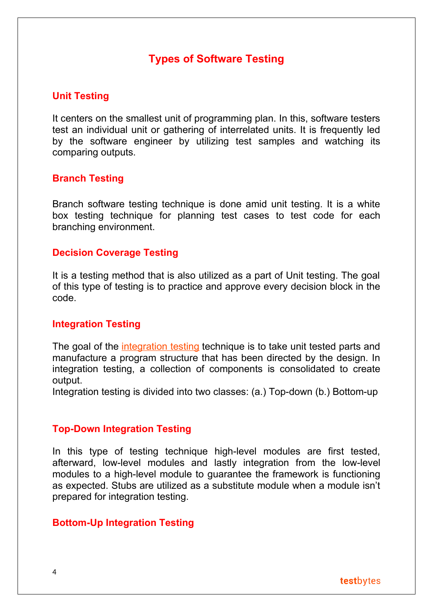## **Types of Software Testing**

## **Unit Testing**

It centers on the smallest unit of programming plan. In this, software testers test an individual unit or gathering of interrelated units. It is frequently led by the software engineer by utilizing test samples and watching its comparing outputs.

#### **Branch Testing**

Branch software testing technique is done amid unit testing. It is a white box testing technique for planning test cases to test code for each branching environment.

#### **Decision Coverage Testing**

It is a testing method that is also utilized as a part of Unit testing. The goal of this type of testing is to practice and approve every decision block in the code.

#### **Integration Testing**

The goal of the *[integration testing](https://www.testbytes.net/software-testing-services/integration-testing/)* technique is to take unit tested parts and manufacture a program structure that has been directed by the design. In integration testing, a collection of components is consolidated to create output.

Integration testing is divided into two classes: (a.) Top-down (b.) Bottom-up

#### **Top-Down Integration Testing**

In this type of testing technique high-level modules are first tested, afterward, low-level modules and lastly integration from the low-level modules to a high-level module to guarantee the framework is functioning as expected. Stubs are utilized as a substitute module when a module isn't prepared for integration testing.

#### **Bottom-Up Integration Testing**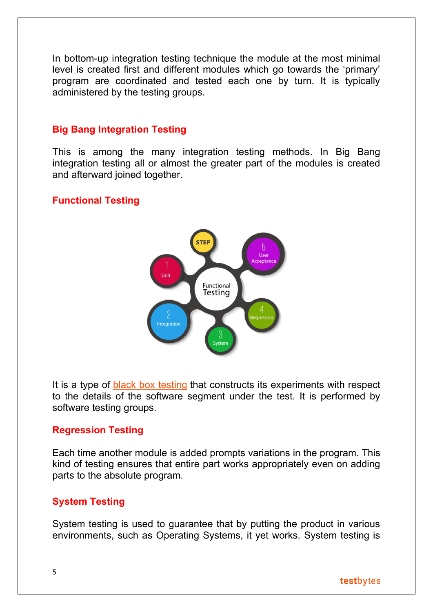In bottom-up integration testing technique the module at the most minimal level is created first and different modules which go towards the 'primary' program are coordinated and tested each one by turn. It is typically administered by the testing groups.

## **Big Bang Integration Testing**

This is among the many integration testing methods. In Big Bang integration testing all or almost the greater part of the modules is created and afterward joined together.

## **Functional Testing**



It is a type of [black box testing](https://www.testbytes.net/blog/quick-guide-to-black-box-testing/) that constructs its experiments with respect to the details of the software segment under the test. It is performed by software testing groups.

#### **Regression Testing**

Each time another module is added prompts variations in the program. This kind of testing ensures that entire part works appropriately even on adding parts to the absolute program.

#### **System Testing**

System testing is used to guarantee that by putting the product in various environments, such as Operating Systems, it yet works. System testing is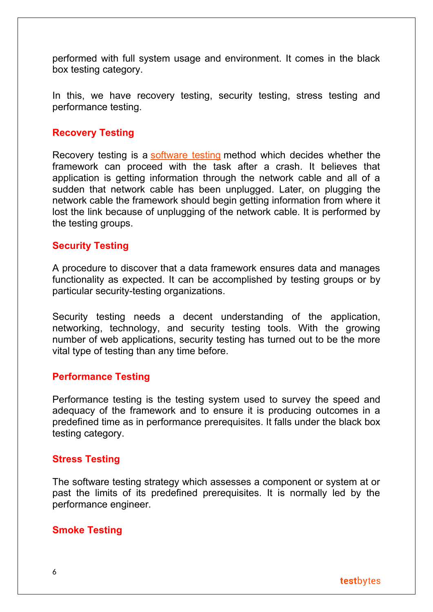performed with full system usage and environment. It comes in the black box testing category.

In this, we have recovery testing, security testing, stress testing and performance testing.

## **Recovery Testing**

Recovery testing is a [software testing](https://www.testbytes.net/) method which decides whether the framework can proceed with the task after a crash. It believes that application is getting information through the network cable and all of a sudden that network cable has been unplugged. Later, on plugging the network cable the framework should begin getting information from where it lost the link because of unplugging of the network cable. It is performed by the testing groups.

#### **Security Testing**

A procedure to discover that a data framework ensures data and manages functionality as expected. It can be accomplished by testing groups or by particular security-testing organizations.

Security testing needs a decent understanding of the application, networking, technology, and security testing tools. With the growing number of web applications, security testing has turned out to be the more vital type of testing than any time before.

#### **Performance Testing**

Performance testing is the testing system used to survey the speed and adequacy of the framework and to ensure it is producing outcomes in a predefined time as in performance prerequisites. It falls under the black box testing category.

## **Stress Testing**

The software testing strategy which assesses a component or system at or past the limits of its predefined prerequisites. It is normally led by the performance engineer.

## **[Smoke Testing](https://www.testbytes.net/smoke-testing/)**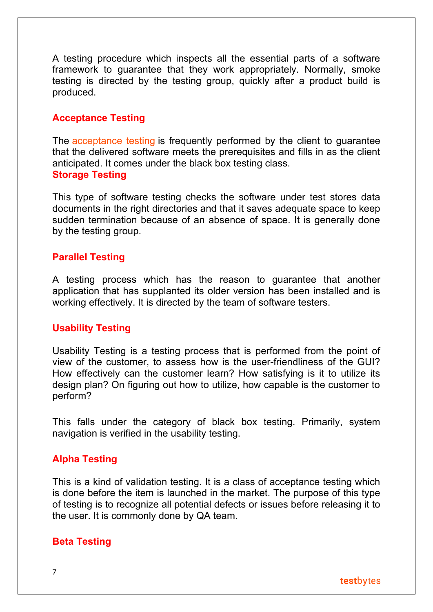A testing procedure which inspects all the essential parts of a software framework to guarantee that they work appropriately. Normally, smoke testing is directed by the testing group, quickly after a product build is produced.

#### **Acceptance Testing**

The [acceptance testing](https://www.testbytes.net/user-acceptance-testing/) is frequently performed by the client to guarantee that the delivered software meets the prerequisites and fills in as the client anticipated. It comes under the black box testing class. **Storage Testing**

This type of software testing checks the software under test stores data documents in the right directories and that it saves adequate space to keep sudden termination because of an absence of space. It is generally done by the testing group.

## **Parallel Testing**

A testing process which has the reason to guarantee that another application that has supplanted its older version has been installed and is working effectively. It is directed by the team of software testers.

## **Usability Testing**

Usability Testing is a testing process that is performed from the point of view of the customer, to assess how is the user-friendliness of the GUI? How effectively can the customer learn? How satisfying is it to utilize its design plan? On figuring out how to utilize, how capable is the customer to perform?

This falls under the category of black box testing. Primarily, system navigation is verified in the usability testing.

## **Alpha Testing**

This is a kind of validation testing. It is a class of acceptance testing which is done before the item is launched in the market. The purpose of this type of testing is to recognize all potential defects or issues before releasing it to the user. It is commonly done by QA team.

#### **Beta Testing**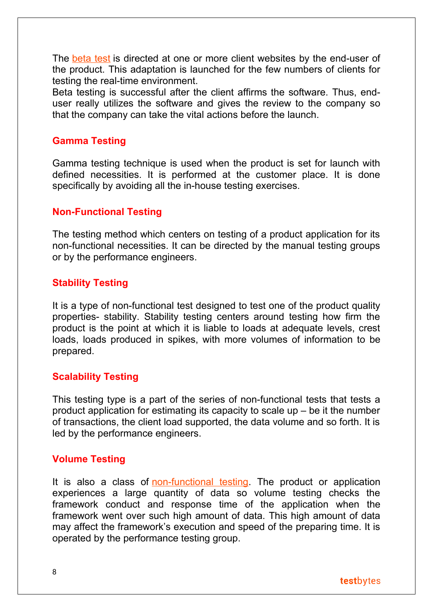The [beta test](https://www.testbytes.net/beta-testing/) is directed at one or more client websites by the end-user of the product. This adaptation is launched for the few numbers of clients for testing the real-time environment.

Beta testing is successful after the client affirms the software. Thus, enduser really utilizes the software and gives the review to the company so that the company can take the vital actions before the launch.

## **Gamma Testing**

Gamma testing technique is used when the product is set for launch with defined necessities. It is performed at the customer place. It is done specifically by avoiding all the in-house testing exercises.

## **Non-Functional Testing**

The testing method which centers on testing of a product application for its non-functional necessities. It can be directed by the manual testing groups or by the performance engineers.

## **Stability Testing**

It is a type of non-functional test designed to test one of the product quality properties- stability. Stability testing centers around testing how firm the product is the point at which it is liable to loads at adequate levels, crest loads, loads produced in spikes, with more volumes of information to be prepared.

## **Scalability Testing**

This testing type is a part of the series of non-functional tests that tests a product application for estimating its capacity to scale up – be it the number of transactions, the client load supported, the data volume and so forth. It is led by the performance engineers.

## **Volume Testing**

It is also a class of [non-functional testing.](https://www.testbytes.net/blog/difference-between-functional-and-non-functional-testing/) The product or application experiences a large quantity of data so volume testing checks the framework conduct and response time of the application when the framework went over such high amount of data. This high amount of data may affect the framework's execution and speed of the preparing time. It is operated by the performance testing group.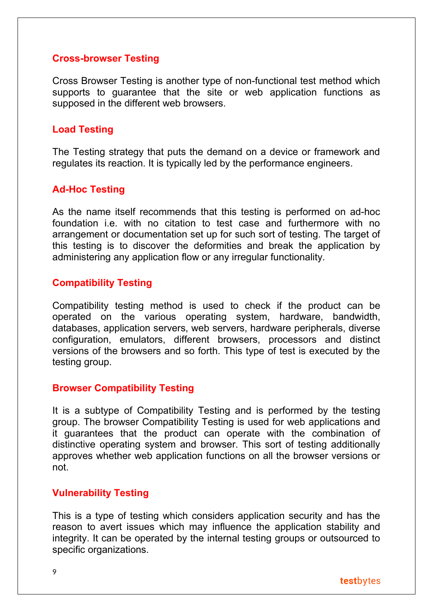#### **Cross-browser Testing**

Cross Browser Testing is another type of non-functional test method which supports to guarantee that the site or web application functions as supposed in the different web browsers.

## **Load Testing**

The Testing strategy that puts the demand on a device or framework and regulates its reaction. It is typically led by the performance engineers.

## **Ad-Hoc Testing**

As the name itself recommends that this testing is performed on ad-hoc foundation i.e. with no citation to test case and furthermore with no arrangement or documentation set up for such sort of testing. The target of this testing is to discover the deformities and break the application by administering any application flow or any irregular functionality.

## **Compatibility Testing**

Compatibility testing method is used to check if the product can be operated on the various operating system, hardware, bandwidth, databases, application servers, web servers, hardware peripherals, diverse configuration, emulators, different browsers, processors and distinct versions of the browsers and so forth. This type of test is executed by the testing group.

#### **Browser Compatibility Testing**

It is a subtype of Compatibility Testing and is performed by the testing group. The browser Compatibility Testing is used for web applications and it guarantees that the product can operate with the combination of distinctive operating system and browser. This sort of testing additionally approves whether web application functions on all the browser versions or not.

#### **Vulnerability Testing**

This is a type of testing which considers application security and has the reason to avert issues which may influence the application stability and integrity. It can be operated by the internal testing groups or outsourced to specific organizations.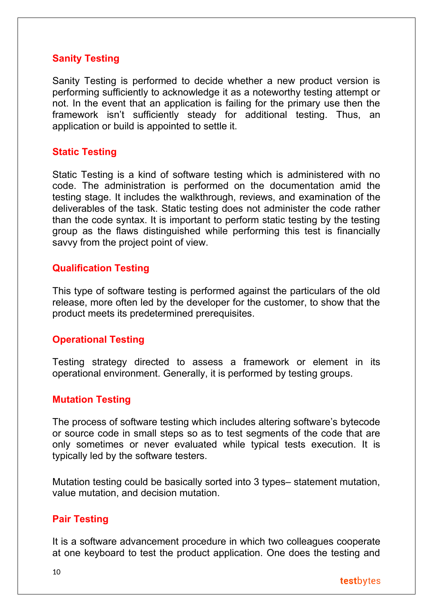## **Sanity Testing**

Sanity Testing is performed to decide whether a new product version is performing sufficiently to acknowledge it as a noteworthy testing attempt or not. In the event that an application is failing for the primary use then the framework isn't sufficiently steady for additional testing. Thus, an application or build is appointed to settle it.

## **Static Testing**

Static Testing is a kind of software testing which is administered with no code. The administration is performed on the documentation amid the testing stage. It includes the walkthrough, reviews, and examination of the deliverables of the task. Static testing does not administer the code rather than the code syntax. It is important to perform static testing by the testing group as the flaws distinguished while performing this test is financially savvy from the project point of view.

#### **Qualification Testing**

This type of software testing is performed against the particulars of the old release, more often led by the developer for the customer, to show that the product meets its predetermined prerequisites.

## **Operational Testing**

Testing strategy directed to assess a framework or element in its operational environment. Generally, it is performed by testing groups.

#### **Mutation Testing**

The process of software testing which includes altering software's bytecode or source code in small steps so as to test segments of the code that are only sometimes or never evaluated while typical tests execution. It is typically led by the software testers.

Mutation testing could be basically sorted into 3 types– statement mutation, value mutation, and decision mutation.

## **Pair Testing**

It is a software advancement procedure in which two colleagues cooperate at one keyboard to test the product application. One does the testing and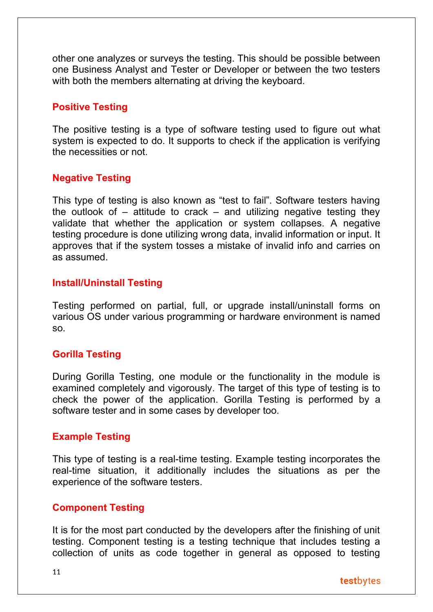other one analyzes or surveys the testing. This should be possible between one Business Analyst and Tester or Developer or between the two testers with both the members alternating at driving the keyboard.

## **Positive Testing**

The positive testing is a type of software testing used to figure out what system is expected to do. It supports to check if the application is verifying the necessities or not.

## **Negative Testing**

This type of testing is also known as "test to fail". Software testers having the outlook of  $-$  attitude to crack  $-$  and utilizing negative testing they validate that whether the application or system collapses. A negative testing procedure is done utilizing wrong data, invalid information or input. It approves that if the system tosses a mistake of invalid info and carries on as assumed.

## **Install/Uninstall Testing**

Testing performed on partial, full, or upgrade install/uninstall forms on various OS under various programming or hardware environment is named so.

## **Gorilla Testing**

During Gorilla Testing, one module or the functionality in the module is examined completely and vigorously. The target of this type of testing is to check the power of the application. Gorilla Testing is performed by a software tester and in some cases by developer too.

## **Example Testing**

This type of testing is a real-time testing. Example testing incorporates the real-time situation, it additionally includes the situations as per the experience of the software testers.

## **Component Testing**

It is for the most part conducted by the developers after the finishing of unit testing. Component testing is a testing technique that includes testing a collection of units as code together in general as opposed to testing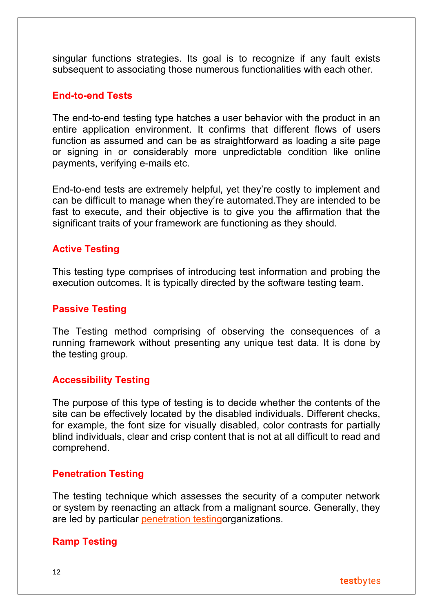singular functions strategies. Its goal is to recognize if any fault exists subsequent to associating those numerous functionalities with each other.

#### **End-to-end Tests**

The end-to-end testing type hatches a user behavior with the product in an entire application environment. It confirms that different flows of users function as assumed and can be as straightforward as loading a site page or signing in or considerably more unpredictable condition like online payments, verifying e-mails etc.

End-to-end tests are extremely helpful, yet they're costly to implement and can be difficult to manage when they're automated.They are intended to be fast to execute, and their objective is to give you the affirmation that the significant traits of your framework are functioning as they should.

## **Active Testing**

This testing type comprises of introducing test information and probing the execution outcomes. It is typically directed by the software testing team.

## **Passive Testing**

The Testing method comprising of observing the consequences of a running framework without presenting any unique test data. It is done by the testing group.

#### **Accessibility Testing**

The purpose of this type of testing is to decide whether the contents of the site can be effectively located by the disabled individuals. Different checks, for example, the font size for visually disabled, color contrasts for partially blind individuals, clear and crisp content that is not at all difficult to read and comprehend.

#### **Penetration Testing**

The testing technique which assesses the security of a computer network or system by reenacting an attack from a malignant source. Generally, they are led by particular [penetration testingo](https://www.testbytes.net/software-testing-services/penetration-testing/)rganizations.

## **Ramp Testing**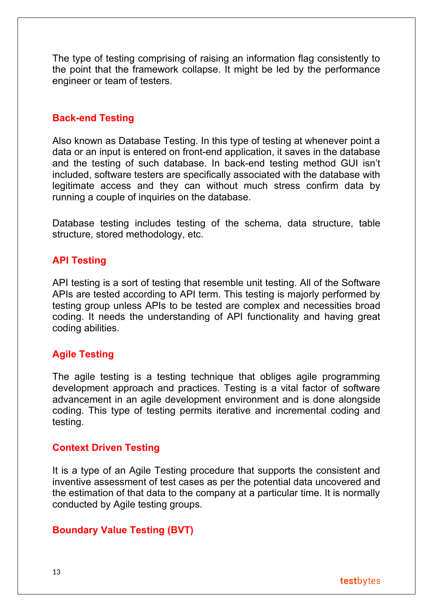The type of testing comprising of raising an information flag consistently to the point that the framework collapse. It might be led by the performance engineer or team of testers.

## **Back-end Testing**

Also known as Database Testing. In this type of testing at whenever point a data or an input is entered on front-end application, it saves in the database and the testing of such database. In back-end testing method GUI isn't included, software testers are specifically associated with the database with legitimate access and they can without much stress confirm data by running a couple of inquiries on the database.

Database testing includes testing of the schema, data structure, table structure, stored methodology, etc.

## **API Testing**

API testing is a sort of testing that resemble unit testing. All of the Software APIs are tested according to API term. This testing is majorly performed by testing group unless APIs to be tested are complex and necessities broad coding. It needs the understanding of API functionality and having great coding abilities.

## **Agile Testing**

The agile testing is a testing technique that obliges agile programming development approach and practices. Testing is a vital factor of software advancement in an agile development environment and is done alongside coding. This type of testing permits iterative and incremental coding and testing.

#### **Context Driven Testing**

It is a type of an Agile Testing procedure that supports the consistent and inventive assessment of test cases as per the potential data uncovered and the estimation of that data to the company at a particular time. It is normally conducted by Agile testing groups.

## **Boundary Value Testing (BVT)**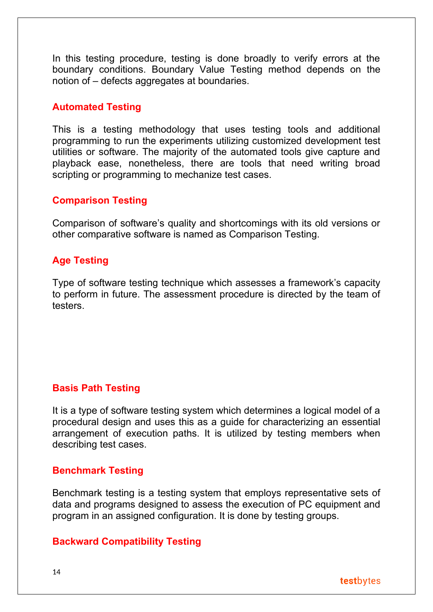In this testing procedure, testing is done broadly to verify errors at the boundary conditions. Boundary Value Testing method depends on the notion of – defects aggregates at boundaries.

## **Automated Testing**

This is a testing methodology that uses testing tools and additional programming to run the experiments utilizing customized development test utilities or software. The majority of the automated tools give capture and playback ease, nonetheless, there are tools that need writing broad scripting or programming to mechanize test cases.

## **Comparison Testing**

Comparison of software's quality and shortcomings with its old versions or other comparative software is named as Comparison Testing.

## **Age Testing**

Type of software testing technique which assesses a framework's capacity to perform in future. The assessment procedure is directed by the team of testers.

## **Basis Path Testing**

It is a type of software testing system which determines a logical model of a procedural design and uses this as a guide for characterizing an essential arrangement of execution paths. It is utilized by testing members when describing test cases.

## **Benchmark Testing**

Benchmark testing is a testing system that employs representative sets of data and programs designed to assess the execution of PC equipment and program in an assigned configuration. It is done by testing groups.

## **Backward Compatibility Testing**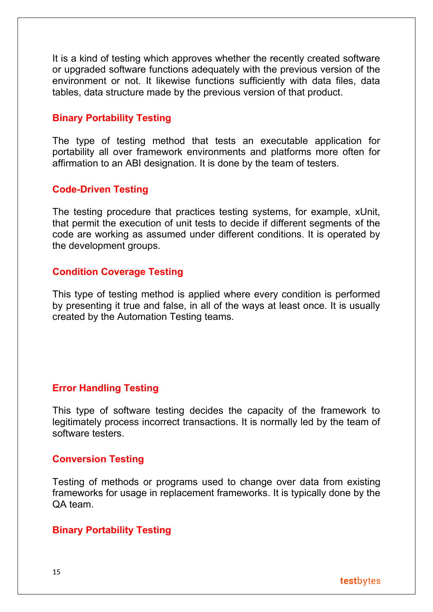It is a kind of testing which approves whether the recently created software or upgraded software functions adequately with the previous version of the environment or not. It likewise functions sufficiently with data files, data tables, data structure made by the previous version of that product.

## **Binary Portability Testing**

The type of testing method that tests an executable application for portability all over framework environments and platforms more often for affirmation to an ABI designation. It is done by the team of testers.

## **Code-Driven Testing**

The testing procedure that practices testing systems, for example, xUnit, that permit the execution of unit tests to decide if different segments of the code are working as assumed under different conditions. It is operated by the development groups.

#### **Condition Coverage Testing**

This type of testing method is applied where every condition is performed by presenting it true and false, in all of the ways at least once. It is usually created by the Automation Testing teams.

## **Error Handling Testing**

This type of software testing decides the capacity of the framework to legitimately process incorrect transactions. It is normally led by the team of software testers.

#### **Conversion Testing**

Testing of methods or programs used to change over data from existing frameworks for usage in replacement frameworks. It is typically done by the QA team.

#### **Binary Portability Testing**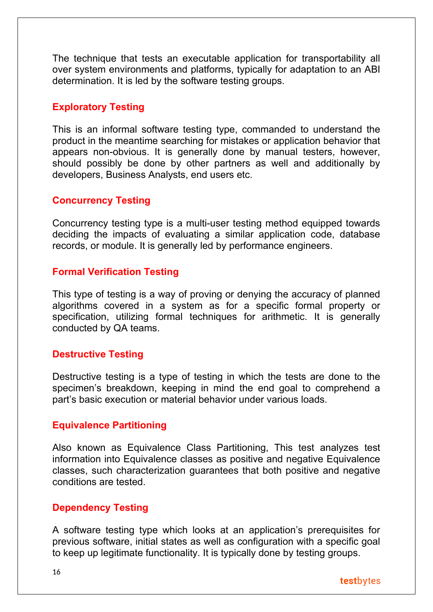The technique that tests an executable application for transportability all over system environments and platforms, typically for adaptation to an ABI determination. It is led by the software testing groups.

## **Exploratory Testing**

This is an informal software testing type, commanded to understand the product in the meantime searching for mistakes or application behavior that appears non-obvious. It is generally done by manual testers, however, should possibly be done by other partners as well and additionally by developers, Business Analysts, end users etc.

## **Concurrency Testing**

Concurrency testing type is a multi-user testing method equipped towards deciding the impacts of evaluating a similar application code, database records, or module. It is generally led by performance engineers.

## **Formal Verification Testing**

This type of testing is a way of proving or denying the accuracy of planned algorithms covered in a system as for a specific formal property or specification, utilizing formal techniques for arithmetic. It is generally conducted by QA teams.

## **Destructive Testing**

Destructive testing is a type of testing in which the tests are done to the specimen's breakdown, keeping in mind the end goal to comprehend a part's basic execution or material behavior under various loads.

## **Equivalence Partitioning**

Also known as Equivalence Class Partitioning, This test analyzes test information into Equivalence classes as positive and negative Equivalence classes, such characterization guarantees that both positive and negative conditions are tested.

## **Dependency Testing**

A software testing type which looks at an application's prerequisites for previous software, initial states as well as configuration with a specific goal to keep up legitimate functionality. It is typically done by testing groups.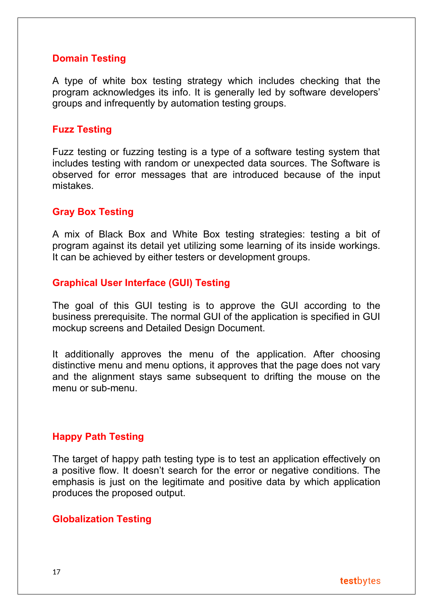## **Domain Testing**

A type of white box testing strategy which includes checking that the program acknowledges its info. It is generally led by software developers' groups and infrequently by automation testing groups.

## **Fuzz Testing**

Fuzz testing or fuzzing testing is a type of a software testing system that includes testing with random or unexpected data sources. The Software is observed for error messages that are introduced because of the input mistakes.

## **Gray Box Testing**

A mix of Black Box and White Box testing strategies: testing a bit of program against its detail yet utilizing some learning of its inside workings. It can be achieved by either testers or development groups.

#### **Graphical User Interface (GUI) Testing**

The goal of this GUI testing is to approve the GUI according to the business prerequisite. The normal GUI of the application is specified in GUI mockup screens and Detailed Design Document.

It additionally approves the menu of the application. After choosing distinctive menu and menu options, it approves that the page does not vary and the alignment stays same subsequent to drifting the mouse on the menu or sub-menu.

## **Happy Path Testing**

The target of happy path testing type is to test an application effectively on a positive flow. It doesn't search for the error or negative conditions. The emphasis is just on the legitimate and positive data by which application produces the proposed output.

#### **Globalization Testing**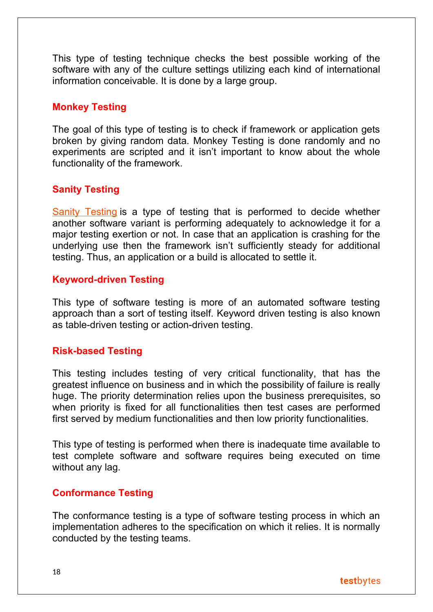This type of testing technique checks the best possible working of the software with any of the culture settings utilizing each kind of international information conceivable. It is done by a large group.

## **Monkey Testing**

The goal of this type of testing is to check if framework or application gets broken by giving random data. Monkey Testing is done randomly and no experiments are scripted and it isn't important to know about the whole functionality of the framework.

## **Sanity Testing**

[Sanity Testing](https://www.testbytes.net/sanity-testing/) is a type of testing that is performed to decide whether another software variant is performing adequately to acknowledge it for a major testing exertion or not. In case that an application is crashing for the underlying use then the framework isn't sufficiently steady for additional testing. Thus, an application or a build is allocated to settle it.

## **Keyword-driven Testing**

This type of software testing is more of an automated software testing approach than a sort of testing itself. Keyword driven testing is also known as table-driven testing or action-driven testing.

## **Risk-based Testing**

This testing includes testing of very critical functionality, that has the greatest influence on business and in which the possibility of failure is really huge. The priority determination relies upon the business prerequisites, so when priority is fixed for all functionalities then test cases are performed first served by medium functionalities and then low priority functionalities.

This type of testing is performed when there is inadequate time available to test complete software and software requires being executed on time without any lag.

## **Conformance Testing**

The conformance testing is a type of software testing process in which an implementation adheres to the specification on which it relies. It is normally conducted by the testing teams.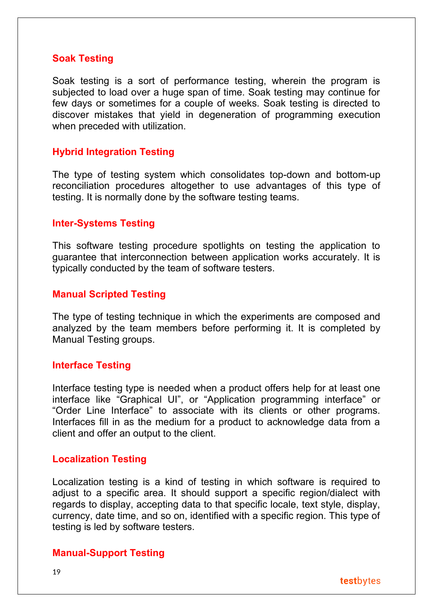#### **Soak Testing**

Soak testing is a sort of performance testing, wherein the program is subjected to load over a huge span of time. Soak testing may continue for few days or sometimes for a couple of weeks. Soak testing is directed to discover mistakes that yield in degeneration of programming execution when preceded with utilization.

#### **Hybrid Integration Testing**

The type of testing system which consolidates top-down and bottom-up reconciliation procedures altogether to use advantages of this type of testing. It is normally done by the software testing teams.

#### **Inter-Systems Testing**

This software testing procedure spotlights on testing the application to guarantee that interconnection between application works accurately. It is typically conducted by the team of software testers.

#### **Manual Scripted Testing**

The type of testing technique in which the experiments are composed and analyzed by the team members before performing it. It is completed by Manual Testing groups.

#### **Interface Testing**

Interface testing type is needed when a product offers help for at least one interface like "Graphical UI", or "Application programming interface" or "Order Line Interface" to associate with its clients or other programs. Interfaces fill in as the medium for a product to acknowledge data from a client and offer an output to the client.

#### **Localization Testing**

Localization testing is a kind of testing in which software is required to adjust to a specific area. It should support a specific region/dialect with regards to display, accepting data to that specific locale, text style, display, currency, date time, and so on, identified with a specific region. This type of testing is led by software testers.

#### **Manual-Support Testing**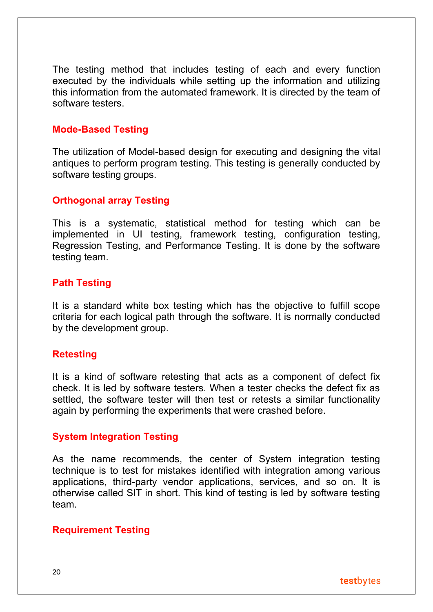The testing method that includes testing of each and every function executed by the individuals while setting up the information and utilizing this information from the automated framework. It is directed by the team of software testers.

## **Mode-Based Testing**

The utilization of Model-based design for executing and designing the vital antiques to perform program testing. This testing is generally conducted by software testing groups.

## **Orthogonal array Testing**

This is a systematic, statistical method for testing which can be implemented in UI testing, framework testing, configuration testing, Regression Testing, and Performance Testing. It is done by the software testing team.

## **Path Testing**

It is a standard white box testing which has the objective to fulfill scope criteria for each logical path through the software. It is normally conducted by the development group.

#### **Retesting**

It is a kind of software retesting that acts as a component of defect fix check. It is led by software testers. When a tester checks the defect fix as settled, the software tester will then test or retests a similar functionality again by performing the experiments that were crashed before.

#### **System Integration Testing**

As the name recommends, the center of System integration testing technique is to test for mistakes identified with integration among various applications, third-party vendor applications, services, and so on. It is otherwise called SIT in short. This kind of testing is led by software testing team.

#### **Requirement Testing**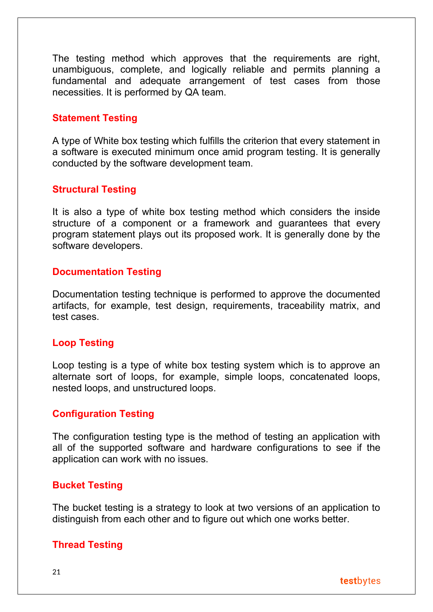The testing method which approves that the requirements are right, unambiguous, complete, and logically reliable and permits planning a fundamental and adequate arrangement of test cases from those necessities. It is performed by QA team.

#### **Statement Testing**

A type of White box testing which fulfills the criterion that every statement in a software is executed minimum once amid program testing. It is generally conducted by the software development team.

#### **Structural Testing**

It is also a type of white box testing method which considers the inside structure of a component or a framework and guarantees that every program statement plays out its proposed work. It is generally done by the software developers.

#### **Documentation Testing**

Documentation testing technique is performed to approve the documented artifacts, for example, test design, requirements, traceability matrix, and test cases.

#### **Loop Testing**

Loop testing is a type of white box testing system which is to approve an alternate sort of loops, for example, simple loops, concatenated loops, nested loops, and unstructured loops.

#### **Configuration Testing**

The configuration testing type is the method of testing an application with all of the supported software and hardware configurations to see if the application can work with no issues.

#### **Bucket Testing**

The bucket testing is a strategy to look at two versions of an application to distinguish from each other and to figure out which one works better.

#### **Thread Testing**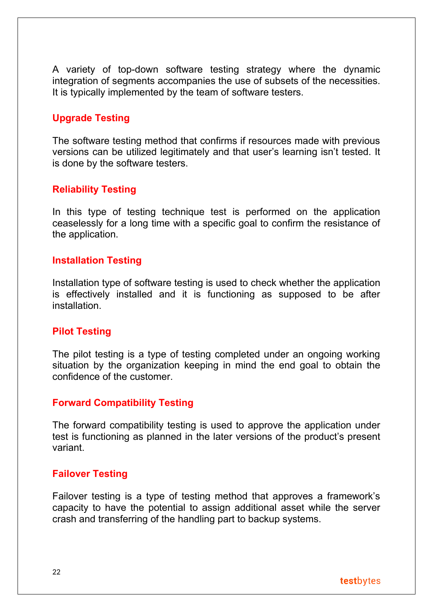A variety of top-down software testing strategy where the dynamic integration of segments accompanies the use of subsets of the necessities. It is typically implemented by the team of software testers.

## **Upgrade Testing**

The software testing method that confirms if resources made with previous versions can be utilized legitimately and that user's learning isn't tested. It is done by the software testers.

## **Reliability Testing**

In this type of testing technique test is performed on the application ceaselessly for a long time with a specific goal to confirm the resistance of the application.

## **Installation Testing**

Installation type of software testing is used to check whether the application is effectively installed and it is functioning as supposed to be after installation.

## **Pilot Testing**

The pilot testing is a type of testing completed under an ongoing working situation by the organization keeping in mind the end goal to obtain the confidence of the customer.

## **Forward Compatibility Testing**

The forward compatibility testing is used to approve the application under test is functioning as planned in the later versions of the product's present variant.

## **Failover Testing**

Failover testing is a type of testing method that approves a framework's capacity to have the potential to assign additional asset while the server crash and transferring of the handling part to backup systems.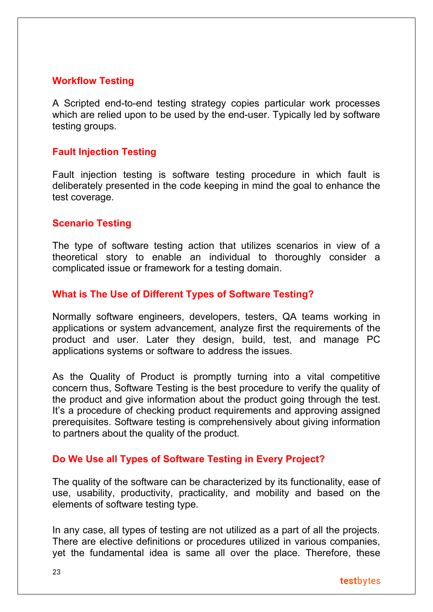## **Workflow Testing**

A Scripted end-to-end testing strategy copies particular work processes which are relied upon to be used by the end-user. Typically led by software testing groups.

#### **Fault Injection Testing**

Fault injection testing is software testing procedure in which fault is deliberately presented in the code keeping in mind the goal to enhance the test coverage.

## **Scenario Testing**

The type of software testing action that utilizes scenarios in view of a theoretical story to enable an individual to thoroughly consider a complicated issue or framework for a testing domain.

## **What is The Use of Different Types of Software Testing?**

Normally software engineers, developers, testers, QA teams working in applications or system advancement, analyze first the requirements of the product and user. Later they design, build, test, and manage PC applications systems or software to address the issues.

As the Quality of Product is promptly turning into a vital competitive concern thus, Software Testing is the best procedure to verify the quality of the product and give information about the product going through the test. It's a procedure of checking product requirements and approving assigned prerequisites. Software testing is comprehensively about giving information to partners about the quality of the product.

## **Do We Use all Types of Software Testing in Every Project?**

The quality of the software can be characterized by its functionality, ease of use, usability, productivity, practicality, and mobility and based on the elements of software testing type.

In any case, all types of testing are not utilized as a part of all the projects. There are elective definitions or procedures utilized in various companies, yet the fundamental idea is same all over the place. Therefore, these